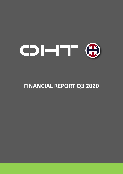

# **FINANCIAL REPORT Q3 2020**

1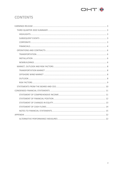

## **CONTENTS**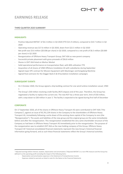

### <span id="page-2-0"></span>**EARNINGS RELEASE**

#### <span id="page-2-1"></span>THIRD QUARTER 2020 SUMMARY

#### <span id="page-2-2"></span>**HIGHLIGHTS**

- Positive Adjusted EBITDA<sup>[1](#page-2-5)</sup> of \$6.3 million in Q3 2020 (YTD \$21.9 million), compared to \$10.7 million in Q2  $2020$
- Operating revenue was \$17.6 million in Q3 2020, down from \$22.5 million in Q2 2020
- Net profit was \$3.6 million (\$0.038 per share) in Q3 2020, compared to a net profit of \$6.5 million (\$0.069 per share) in Q2 2020
- Reorganization of Offshore Heavy Transport Group; OHT ASA as new parent company
- Successful private placement with gross proceeds of \$56.8 million
- Shares in OHT ASA listed on Merkur Market
- Solid operational performance on transportation fleet, with 84% utilization YTD
- Acquisition of all shares of VIND Offshore Installation AS with subsidiaries during September
- Signed major EPC contract for Mission Equipment with MacGregor and Kongsberg Maritime
- Signed final contracts for the Dogger Bank A & B foundation installation campaigns

#### <span id="page-2-3"></span>**SUBSEQUENT EVENTS**

- On 3 October 2020, the Group signed a ship building contract for one wind turbine installation vessel, VIND 1
- The Group's \$30 million revolving credit facility (RCF) elapses end of this year. Therefore, the Group has negotiated a facility to replace the current one. The new RCF has a three-year term, limit of \$50 million, with a step-down to \$30 million in year 3. The facility is expected to be signed during first half of December

#### <span id="page-2-4"></span>**CORPORATE**

On 17 September 2020, all of the shares in Offshore Heavy Transport AS were contributed to OHT ASA ("the Company"), against an issue of 93,761,334 shares in the Company to the shareholders of Offshore Heavy Transport AS, immediately following a write down of the existing share capital of the Company to zero (the "Reorganization"). The assets and liabilities of the new group and the original group are the same immediately before and after the reorganization. This reorganization established the very same shareholder structure of the Company as had been in Offshore Heavy Transport AS immediately prior to the reorganization. The purpose of the reorganization was to establish OHT ASA as the new holding company of the Group. Offshore Heavy Transport AS' historical consolidated financial statements represent the new Group's historical financial information going forward, and as such these financial statements reflect the Group's historical activities.

<span id="page-2-5"></span><sup>1</sup> Adjusted earnings before interest, taxation, depreciation and amortization ("Adjusted EBITDA") is a non-IFRS measure and the Group has defined it as the operating profit excluding the impact of the following items:

<sup>-</sup> Depreciation and amortization expenses in the Statement of Comprehensive Income

<sup>-</sup> Expenses related to warrants as listed in note 8 in the Notes to the Financial Statements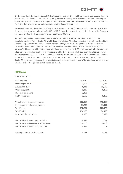

On the same date, the shareholders of OHT ASA resolved to issue 27,086,700 new shares against consideration in cash through a private placement. Total gross proceeds from the private placement was \$56.8 million (the subscription price was fixed at NOK 20 per share). The shareholders also resolved to issue 1,018,935 warrants. For further information on warrants, see note 8 to the financial statements.

Following the contribution in kind and the private placement, OHT ASA's share capital consists of 120,848,034 shares, each at a nominal value of \$0.01 (NOK 0.10). All issued shares are fully paid. The shares of the Company are traded on Oslo Stock Exchanges' marketplace Merkur Market.

Also on 17 September, the Company completed the acquisition of 100% of the shares in Vind Offshore Installation AS from Turbin Capital AS. Vind Offshore Installation AS had on the date of acquisition entered into a heads of agreement with China Merchant Industry Holdings for the building of two jack-up wind turbine installation vessels with options for two additional vessels. Consideration for the shares was NOK 30,000, however Turbin Capital AS is entitled to an additional purchase price of (i) \$2.3 million which falls due upon the effective date of the first shipbuilding contract and (ii) \$1.1 million which falls due upon the effective date of the second shipbuilding contract. The additional purchase price set out in sub-section (i) shall be paid either in shares of the Company based on a subscription price of NOK 20 per share or paid in cash, to which Turbin Capital AS has undertaken to use the proceeds to acquire shares in the Company. The additional purchase price set out in sub-section (ii) above shall be settled in cash.

#### <span id="page-3-0"></span>**FINANCIALS**

#### **Financial key figures**

| in \$ thousands                            | Q3 2020   | Q2 2020 |
|--------------------------------------------|-----------|---------|
| Operating revenue                          | 17,605    | 22,524  |
| Adjusted EBITDA                            | 6,343     | 10,690  |
| Operating profit                           | 1,215     | 6,458   |
| Net Financial Income                       | 2,483     |         |
| Profit before tax                          | 3,698     | 6,458   |
| Vessels and construction contracts         | 202,018   | 190,966 |
| Bank deposits and cash equivalents         | 71,206    | 11,491  |
| <b>Total Assets</b>                        | 292,261   | 228,376 |
| <b>Total Equity</b>                        | 236,106   | 176,456 |
| Debt to credit institutions                | 18,958    | 13,915  |
| Net cashflow from operating activities     | 14,849    | 5,627   |
| Net cashflow used in investment activities | (15, 023) | (4,895) |
| Net cashflow from financing activities     | 59,889    |         |
| Earnings per share, in \$ per share        | 0.038     | 0.069   |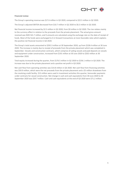

#### **Financial review**

The Group's operating revenue was \$17.6 million in Q3 2020, compared to \$22.5 million in Q2 2020.

The Group's adjusted EBITDA decreased from \$10.7 million in Q2 2020 to \$6.3 million in Q3 2020.

Net financial income increased by \$2.5 million in Q3 2020, from \$0 million in Q2 2020. The rise relates mainly to the currency effect in relation to the proceeds from the private placement. The actual gross amount received was NOK 541.7 million, and \$ amounts are calculated using the exchange rate on the date of receipt of funds. Most of the funds were exchanged to \$ in forward transactions at more favorable rates which explains the positive net financial income in Q3 2020.

The Group's total assets amounted to \$292.3 million at 30 September 2020, up from \$228.4 million at 30 June 2020. The increase is mainly due to receipt of proceeds from the private placement which was completed in September. Vessels and construction contracts, which comprise of sailing vessels and paid deposits on vessels and equipment under construction, increased from \$191 million at 30 June 2020 to \$202 million at 30 September 2020.

Total equity increased during the quarter, from \$176.5 million in Q2 2020 to \$236.1 million in Q3 2020. The increase was due to the private placement and a positive net profit in Q3 2020.

Net cash flow from operating activities was \$14.8 million in Q3 2020. Net cash flow from financing activities was \$59.9 million, which were the net proceeds from the private placement and a \$5 million drawdown from the revolving credit facility. \$15 million were used in investment activities this quarter, hereunder payments under contracts for vessel construction. Net change in cash and cash equivalents from 30 June 2020 to 30 September 2020 was \$59.7 million. Cash and cash equivalents at the end of Q3 2020 were \$71.2 million.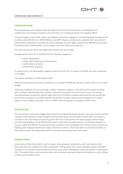

#### <span id="page-5-0"></span>OPERATIONS AND CONTRACTS

#### <span id="page-5-1"></span>**TRANSPORTATION**

The Company has so far avoided major disruptions from the Covid-19 pandemic, with delayed and cumbersome crew change procedures and restrictions on travelling being the only negative effects.

The three largest vessels Hawk, Osprey and Albatross have been engaged in transporting jacket foundations for the Moray East Windfarm for DEME Offshore and EDPR. Osprey and Albatross completed their second batch whilst Hawk is expected to complete the project following arrival to Nigg, Scotland with offloading of 10 jacket foundations from mid-November. All six voyages have been delivered as planned.

The other two vessels Falcon and Eagle have traded in the spot market.

Voyages performed so far in 2020 fall into the following categories:

- 6 within Renewables
- 5 within O&G Exploration and Production
- 3 within Marine & Naval
- 4 within Other Industries

In revenue terms, the Renewables category accounts for 52% YTD. In relation to EBITDA, the ratio is expected to be higher.

Cumulative utilization for 2020 stands at 84%.

Ship operating expenses have been recorded at an average of \$8,960 per day year to date, which is in line with budget.

Following completion of the exhaust gas scrubber installation program in Q1 2020, all five vessels are fitted with scrubbers. Operationally, the scrubbers have performed with minimal technical issues. The savings recorded between actual price paid for High Sulfur Fuel Oil (HSFO) compared with what the cost would have been for the mandatory Low Sulfur Fuel Oil 0.5% (LSFO) if scrubbers had not been installed is \$7.5 million against a total scrubber investment of \$11.4 million. This corresponds to a payback of 66% so far.

#### <span id="page-5-2"></span>**INSTALLATION**

The full and final contracts for Dogger Bank A and B were signed during the quarter. The scope of work includes transport and installation of 190 monopiles and transition pieces from Q3 2022 to early 2024. The project is currently in the early design and planning phase. We have in the quarter seen good progress within design activities with emphasis on risk identification efforts and interfacing with customer's foundation designer to ensure a viable and efficient transportation and installation of the foundation units. Procurement activities are ongoing, with expected placement of major subcontracts shortly. There have been no unwanted incidents on the project to date. The relationship with the customer remains good and constructive.

#### <span id="page-5-3"></span>**NEWBUILDINGS**

Construction of Alfa Lift at CMHI's yard in Jiangsu, China proceeds satisfactorily, with most blocks in the forecastle area now installed and major components making up the main crane foundation being assembled. The plan is to install the crane foundation onto the vessel prior to floating the vessel out of dock in mid-January 2021. Thereafter follows work primarily within the mechanical, piping and electrical disciplines as well as fitting out the accommodation areas.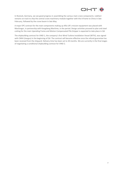

In Rostock, Germany, we see good progress in assembling the various main crane components. Liebherr remains on track to ship the central crane machinery module together with the A-frame to China in late February, followed by the crane boom in late May.

A major EPC contract for the main components making up Alfa Lift's mission equipment was placed with MacGregor, in partnership with Kongsberg Maritime, in the period. Design activities proceed to plan and steel cutting for the main Upending Frame and Motion Compensated Pile Gripper is expected to take place in Q4.

The shipbuilding contract for VIND 1, the company's first Wind Turbine Installation Vessel (WTIV), was signed with CMHI (Jiangsu) in the beginning of Q4. The contract will become effective once the refund guarantee has been received from the shipyard. Delivery time has been set to 30 months. We are currently in the final stages of negotiating a conditional shipbuilding contract for VIND 2.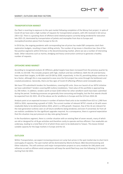

#### <span id="page-7-1"></span><span id="page-7-0"></span>**TRANSPORTATION MARKET**

Our fleet is reverting to exposure to the spot market following completion of the Moray East project. In spite of Covid-19 we have seen a high number of requests for transportation projects, with 245 received in Q3 versus 230 in Q2. There is a growing share of offshore wind related projects currently being tendered for execution late 2021-23, dominated by transportation of jackets and monopiles from Asia to Europe and monopiles/transition pieces from Europe to the US.

In Oil & Gas, the ongoing pandemic with corresponding low oil prices has made E&P companies slash their exploration budgets, resulting in lower drilling activity. The number of rig moves is therefore low. One of the few positive segments within Oil & Gas is the decommissioning market, where we see a number of interesting leads. Other industries such as marine, dredging and heavy construction continue to generate a healthy number of requests.

#### <span id="page-7-2"></span>**OFFSHORE WIND MARKET**

According to recognized analysts 4C Offshore, global targets have been increased from the previous quarter by 15 GW, to 233 GW. This includes projects with high, medium and low confidence. Both the UK and Germany have raised their targets, to 40 GW+ and 20 GW by 2030, respectively. In the US, permitting delays continue to be a factor, although this is now expected to ease once the first project has come through the bottleneck and created precedence. Generally, there are few signs of Covid-19 affecting offshore wind renewable plans.

We have YTD submitted 6 tenders for foundations, covering 635 units. Since our launch of our WTIV initiative we have submitted 7 tenders covering 805 turbine installations. Total value of this portfolio is approaching \$1,700 million. In addition, tenders worth at least \$230 million for other windfarm work have been submitted during the period. Tendering processes are generally time-consuming and lengthy, but the first awards should be expected from Q1 2021. All of the above are for windfarms in Europe and the US from 2024-28.

Analysts point at an expected increase in number of bottom-fixed units to be installed from 615 to 1,390 from 2020 to 2024, representing a growth of 126%. The current number of relevant WTIV's stands at 16 with seven newbuilds likely to be delivered before 2024, which is a 44% growth. However, few of the 16 are relevant for the next generation turbines seen on all future windfarms being tendered, and even if converted, far from all are realistic candidates for the significant upgrades required. As a consequence, there is a general expectation that this situation may put pressure on day rates going forward.

In the foundations segment, there is a similar situation with an existing fleet of seven vessels, many of which are old or designed for oil & gas activities and therefore costly to operate and less efficient. Five newbuilds are underway, leading to a total fleet of 12 of which three seem to be dedicated to Taiwan. This leaves limited suitable capacity for the large markets in Europe and the US.

#### <span id="page-7-3"></span>**OUTLOOK**

Within Transportation, we expect increasing pressure on Lump Sum prices in the spot market due to short term oversupply of capacity. The spot market will be dominated by Marine & Naval, O&G Decommissioning and Other industries. This will continue until major transportation projects to carry modules for LNG plants and refineries as well as offshore wind components will keep the world fleet busy over the following 12-24 months starting from Q2 2021.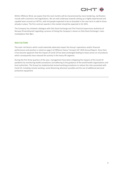

Within Offshore Wind, we expect that the next months will be characterized by more tendering, clarification rounds with customers and negotiations. We are well underway towards setting up a highly experienced and capable team around our WTIVs, with 6-8 people expected to be on-boarded in the near term to add to those already in place. The first contract awards in the market should be expected in Q1 2021.

The Company has initiated a dialogue with Oslo Stock Exchange and The Financial Supervisory Authority of Norway (Finanstilsynet) regarding a process of listing the Company's shares on Oslo Stock Exchange's main marketplace Oslo Børs.

#### <span id="page-8-0"></span>**RISK FACTORS**

The main risk factors which could materially adversely impact the Group's operations and/or financial performance and position is noted on page 4 of Offshore Heavy Transport AS' 2019 Annual Report. Since then it has become apparent that the impact of Covid-19 has been prolonged leading to lower prices on oil products which consequently have reduced the activity in the heavy-lift segment.

During the first three quarters of the year, management have been mitigating the impacts of the Covid-19 pandemic by monitoring health procedures and adhering to the guidance of the world health organizations and local authorities. The Group has implemented revised working procedures to reduce the risks associated with Covid-19, including remote working, social distancing wherever possible and the use of additional personal protective equipment.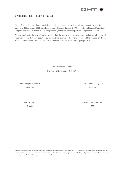

#### <span id="page-9-0"></span>STATEMENTS FROM THE BOARD AND CEO

We confirm, to the best of our knowledge, that the condensed set of financial statements for the period 1 January to 30 September 2020 have been prepared in accordance with IAS 34 – Interim Financial Reporting, and gives a true and fair view of the Group's assets, liabilities, financial position and profit as a whole.

We also confirm, to the best of our knowledge, that the interim management report includes a fair review of important events that have occurred during the third quarter of the financial year and their impact on the set of financial statements, and a description of the main risks and uncertainties going forward.

> Oslo, 12 November 2020 The Board of Directors of OHT ASA

Rune Magnus Lundetræ Marianne Heien Blystad

Chairman Director

Fredrik Platou **Torgeir Egeland Ramstad** Torgeir Egeland Ramstad Director CEO

Forward-looking statements presented in this report are based on various assumptions. The assumptions were reasonable when made, but are subject to uncertainties and contingencies that are difficult or impossible to predict. OHT ASA cannot give assurances that expectations regarding the outlook will be achieved or accomplished.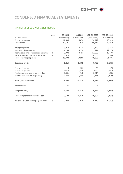# COI-IT O

# <span id="page-10-0"></span>**CONDENSED FINANCIAL STATEMENTS**

#### <span id="page-10-1"></span>**STATEMENT OF COMPREHENSIVE INCOME**

|                                           | Note | Q3 2020        | Q3 2019     | <b>YTD Q3 2020</b> | <b>YTD Q3 2019</b> |
|-------------------------------------------|------|----------------|-------------|--------------------|--------------------|
| in \$ thousands                           |      | (Unaudited)    | (Unaudited) | (Unaudited)        | (Unaudited)        |
| Operating revenue                         |      | 17,605         | 15,676      | 56,712             | 49,019             |
| <b>Total revenue</b>                      |      | 17,605         | 15,676      | 56,712             | 49,019             |
| Voyage expenses                           |      | 5,068          | 7,328       | 17,145             | 23,353             |
| Ship operating expenses                   |      | 4,254          | 4,158       | 12,774             | 12,175             |
| Depreciation and amortization expenses    | 6    | 3,994          | 3,451       | 12,038             | 10,403             |
| General and administrative expenses       | 8    | 3,074          | 2,172       | 6,046              | 5,966              |
| <b>Total operating expenses</b>           |      | 16,390         | 17,108      | 48,003             | 51,896             |
| <b>Operating profit</b>                   |      | 1,215          | (1, 432)    | 8,709              | (2,877)            |
| Financial income                          |      | $\overline{4}$ | 100         | 44                 | 276                |
| Financial expenses                        |      | (152)          | (375)       | (435)              | (1, 554)           |
| Foreign currency exchange gain (loss)     |      | 2,631          | (10)        | 2,614              | (27)               |
| <b>Net financial income (expenses)</b>    |      | 2,483          | (285)       | 2,223              | (1, 305)           |
| Profit (loss) before tax                  |      | 3,698          | (1,718)     | 10,932             | (4, 182)           |
| Income taxes                              |      | 75             |             | 75                 |                    |
| Net profit (loss)                         |      | 3,623          | (1,718)     | 10,857             | (4, 182)           |
| <b>Total comprehensive income (loss)</b>  |      | 3,623          | (1,718)     | 10,857             | (4, 182)           |
| Basic and diluted earnings - \$ per share | 5    | 0.038          | (0.018)     | 0.115              | (0.045)            |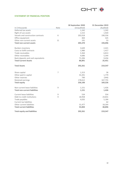

#### <span id="page-11-0"></span>**STATEMENT OF FINANCIAL POSITION**

|                                      |                | 30 September 2020 | <b>31 December 2019</b> |
|--------------------------------------|----------------|-------------------|-------------------------|
| in \$ thousands                      | Note           | (Unaudited)       | (Audited)               |
| Deferred tax assets                  |                | 1,242             | 1,242                   |
| Right-of-use assets                  |                | 1,515             | 1,920                   |
| Vessels and construction contracts   | 6              | 202,018           | 190,556                 |
| Office equipment                     |                | 404               | 325                     |
| Other non-current assets             | 11             | 191               | 53                      |
| <b>Total non-current assets</b>      |                | 205,370           | 194,096                 |
| Bunkers inventory                    |                | 3,649             | 2,421                   |
| Costs to fulfill contracts           |                | 1,986             | 1,417                   |
| Trade receivables                    |                | 5,364             | 6,813                   |
| Other receivables                    |                | 4,686             | 5,344                   |
| Bank deposits and cash equivalents   |                | 71,206            | 9,456                   |
| <b>Total Current Assets</b>          |                | 86,891            | 25,451                  |
| <b>Total Assets</b>                  |                | 292,261           | 219,547                 |
| Share capital                        | $\overline{7}$ | 1,313             | 36                      |
| Other paid in capital                |                | 55,391            | 1,779                   |
| Other reserves                       |                | 790               | (344)                   |
| Retained earnings                    |                | 178,612           | 167,755                 |
| <b>Total equity</b>                  |                | 236,106           | 169,226                 |
| Non-current lease liabilities        | 9              | 1,151             | 1,426                   |
| <b>Total non-current liabilities</b> |                | 1,151             | 1,426                   |
| <b>Current lease liabilities</b>     | $\mathsf 9$    | 534               | 554                     |
| Debt to credit institutions          | 9              | 18,958            | 24,831                  |
| Trade payables                       |                | 4,035             | 5,184                   |
| Current tax liabilities              |                |                   | 62                      |
| Other current liabilities            |                | 31,477            | 18,264                  |
| <b>Total current liabilities</b>     |                | 55,004            | 48,896                  |
| <b>Total equity and liabilities</b>  |                | 292,261           | 219,547                 |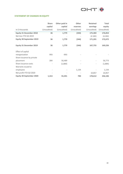

#### <span id="page-12-0"></span>**STATEMENT OF CHANGES IN EQUITY**

|                                 | <b>Share</b>             | Other paid in | Other       | <b>Retained</b> | <b>Total</b> |
|---------------------------------|--------------------------|---------------|-------------|-----------------|--------------|
|                                 | capital                  | capital       | reserves    | earnings        | equity       |
| in \$ thousands                 | (Unaudited)              | (Unaudited)   | (Unaudited) | (Unaudited)     | (Unaudited)  |
| <b>Equity 31 December 2018</b>  | 36                       | 1,779         | (344)       | 175,383         | 176,854      |
| Net loss YTD Q3 2019            | $\overline{\phantom{a}}$ |               |             | (4182)          | (4, 182)     |
| <b>Equity 30 September 2019</b> | 36                       | 1,779         | (344)       | 171,201         | 172,672      |
|                                 |                          |               |             |                 |              |
| <b>Equity 31 December 2019</b>  | 36                       | 1,779         | (344)       | 167,755         | 169,226      |
|                                 |                          |               |             |                 |              |
| Effect of capital               |                          |               |             |                 |              |
| reorganization                  | 993                      | $-993$        |             |                 |              |
| Share issuance by private       |                          |               |             |                 |              |
| placement                       | 284                      | 56,489        |             |                 | 56,773       |
| Share issuance costs            |                          | (1,884)       |             |                 | (1,884)      |
| Warrants issued to              |                          |               |             |                 |              |
| employees                       | $\overline{\phantom{a}}$ |               | 1,134       |                 | 1,134        |
| Net profit YTD Q3 2020          |                          |               |             | 10,857          | 10,857       |
| <b>Equity 30 September 2020</b> | 1,313                    | 55,391        | 790         | 178,612         | 236,106      |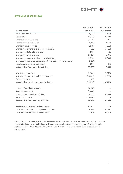

#### <span id="page-13-0"></span>**STATEMENT OF CASH FLOWS**

|                                                                   | <b>YTD Q3 2020</b> | <b>YTD Q3 2019</b> |
|-------------------------------------------------------------------|--------------------|--------------------|
| in \$ thousands                                                   | (Unaudited)        | (Unaudited)        |
| Profit (loss) before taxes                                        | 10,932             | (4, 182)           |
| Depreciation                                                      | 12,038             | 10,403             |
| Change in bunkers inventory                                       | (1,228)            | 1,016              |
| Change in trade receivables                                       | 1,449              | 4,643              |
| Change in trade payables                                          | (1, 149)           | (882)              |
| Change in prepayments and other receivables                       | 658                | (2,719)            |
| Change in costs to fulfil contracts                               | (569)              | 521                |
| Change in prepaid revenues                                        | 17,287             | 3,041              |
| Change in accruals and other current liabilities                  | (4,645)            | (2, 477)           |
| Employee benefit expenses in connection with issuance of warrants | 1,134              |                    |
| Net change in other current items                                 | (251)              | 540                |
| Net cash flow from operating activities                           | 35,656             | 9,904              |
| Investments on vessels                                            | (1,964)            | (7,071)            |
| Investments on vessels under construction*                        | (20, 442)          | (11,055)           |
| Other investments                                                 | (389)              |                    |
| Net cash flow used in investment activities                       | (22, 795)          | (18, 126)          |
| Proceeds from share issuance                                      | 56,773             |                    |
| Share issuance costs                                              | (1,884)            |                    |
| Proceeds from drawdown of debt                                    | 10,000             | 15,000             |
| Repayment of debt                                                 | (16,000)           |                    |
| Net cash flow from financing activities                           | 48,889             | 15,000             |
| Net change in cash and cash equivalents                           | 61,750             | 6,778              |
| Cash and bank deposits at beginning of period                     | 9,456              | 11,092             |
| Cash and bank deposits at end of period                           | 71,206             | 17,870             |

\*the difference between investments on vessels under construction in the statement of cash flows, and the sum of additions and capitalized borrowing costs on vessels under construction in note 6 to the financial statements, is capitalized borrowing costs calculated on prepaid revenues considered to be a financial arrangement.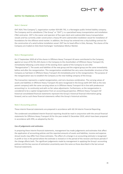

#### <span id="page-14-0"></span>**NOTES TO FINANCIAL STATEMENTS**

#### Note 1 General

OHT ASA ("the Company"), organization number 924 695 792, is a Norwegian public limited liability company. The Company and its subsidiaries ("the Group" or "OHT"), is a specialized heavy transportation and installation (T&I) contractor. OHT is the owner and operator of five open deck semi-submersible heavy transportation vessels and has currently under construction a heavy lift semi-submersible installation vessel for installation of foundations for the offshore wind market. In addition, the Group has entered into a ship building contract for the construction of a wind turbine installation vessel. OHT has its head office in Oslo, Norway. The shares of the Company are traded on Oslo Stock Exchanges' marketplace Merkur Market.

#### Note 2 Reorganization

On 17 September 2020 all of the shares in Offshore Heavy Transport AS were contributed to the Company, against an issue of 93,761,334 shares in the Company to the shareholders of Offshore Heavy Transport AS, immediately following a write down of the existing share capital of the Company to zero (the "Reorganization"). The assets and liabilities of the new group and the original group are the same immediately before and after the reorganization. This reorganization established the very same shareholder structure of the Company as had been in Offshore Heavy Transport AS immediately prior to the reorganization. The purpose of the reorganization was to establish the Company as the new holding company of the Group.

The transaction represents a capital reorganization, and not a business combination. The carrying values of assets and liabilities in Offshore Heavy Transport AS were recognized in the Group (with OHT ASA as the new parent company) with the same carrying values as in Offshore Heavy Transport AS in line with predecessor accounting (i.e. to continuity) and with no fair value adjustments. Furthermore, as the reorganization is considered to be a capital reorganization from an accounting perspective, Offshore Heavy Transport AS' historical consolidated financial statements represent the Group's historical financial information going forward, and as such these financial statements reflect the Group's historical activities.

#### Note 3 Accounting policies

These interim financial statements are prepared in accordance with IAS 34 Interim Financial Reporting.

The condensed consolidated interim financial reporting should be read in conjunction with the annual financial statements for Offshore Heavy Transport AS for the year ended 31 December 2019, which have been prepared in accordance with IFRS, as adopted by the EU.

#### **Use of judgements and estimates**

In preparing these interim financial statements, management has made judgements and estimates that affect the application of accounting policies and the reported amounts of assets and liabilities, income and expense. Actual results may differ from these estimates. The effect of a change in an accounting estimate is recognized in profit or loss in the period where the estimate is revised or in the period of the revision and future periods if the change affects both. The significant judgements made by management in applying the Group's accounting policies and the key sources of estimation uncertainty were the same as those described in the last annual financial statements.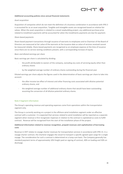

#### **Additional accounting policies since annual financial statements**

#### *Asset acquisition*

Acquisition of companies which do not meet the definition of a business combination in accordance with IFRS 3 is accounted for as an asset acquisition. Tangible and intangible assets are recognized based on relative fair values. When the asset acquisition is related to a vessel newbuilding project, any additional purchase price related to installment payments will be accounted for when the installments payments are due for payment.

#### *Share-based payments*

Share-based payment transactions through issuance of warrants to employees and to Chairman of the Board of Directors are measured at fair value of the warrants at the issuance date as value of services received cannot be measured reliably. Share-based payments are recognized as an employee expense at the time of issuance since there are no service vesting conditions present, with a corresponding increase of equity.

#### *Basic and diluted earnings per share*

Basic earnings per share is calculated by dividing:

- the profit attributable to owners of the company, excluding any costs of servicing equity other than ordinary shares
- by the weighted average number of ordinary shares outstanding during the financial year

Diluted earnings per share adjusts the figures used in the determination of basic earnings per share to take into account:

- the after-income tax effect of interest and other financing costs associated with dilutive potential ordinary shares, and
- the weighted average number of additional ordinary shares that would have been outstanding assuming the conversion of all dilutive potential ordinary shares.

#### Note 4 Segment information

The Group's operating revenue and operating expenses come from operations within the transportation segment only.

The Group is currently working on a project in the offshore wind installation segment under an effective contract with a customer. It is expected that services related to wind installation will be reported as a separate segment when revenue is first recognized. Expenses in relation to the contract is capitalized as costs to fulfill contract. Revenue will be recognized from the start of the installation phase of the project.

#### **Additional information related to revenue recognition, prepaid revenues and capitalization of borrowing costs**

Revenue in OHT relates to voyage charter revenues for transportation services in accordance with IFRS 15. In a voyage charter contract, the charterer engages the vessel to transport a specific agreed-upon cargo for a single voyage. The consideration for such a contract is determined on a lump sum basis. The Company generally has standard payment terms of approximately 10% freight paid on signing of contract, 40% on loading and 50% on discharge.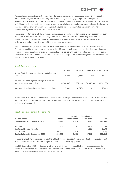

Voyage charter contracts consist of a single performance obligation of transporting cargo within a specified period. Therefore, the performance obligation is met evenly as the voyage progresses. Voyage charter revenues are recognized using the percentage of completion method on a load-to-discharge basis. Cost related to fulfilment of the contract incurred prior to loading is capitalized as mobilization costs and amortized over the associated period of which revenue is recognized. Voyage expenses incurred as repositioning for noncommitted freight contracts are expensed as incurred.

The voyage charters generally have variable consideration in the form of demurrage, which is recognized over the period in which the performance obligations are met under the contract. Demurrage is estimated at contract inception using either the expected value or most likely amount approaches. Such estimate is reviewed and updated over the term of the voyage charter contract.

Prepaid revenues not yet earned is reported as deferred revenue and classified as other current liabilities. When the prepaid revenue is for a period more than 12 months such payments include a significant financing component and a calculated interest is recognized as an expense with a corresponding amount recognized as an increase of deferred revenue. The interest expense will be capitalized as borrowing costs and included in the cost of the vessel under construction.

|                                                                             | Q3 2020    |            | Q3 2019 YTD Q3 2020 YTD Q3 2019 |            |
|-----------------------------------------------------------------------------|------------|------------|---------------------------------|------------|
| Net profit attributable to ordinary equity holders -<br>\$thousands         | 3,623      | (1,718)    | 10,857                          | (4, 182)   |
| Basic and diluted weighted average number of<br>ordinary shares outstanding | 94,644,596 | 93,761,334 | 94,057,904                      | 93,761,334 |
| Basic and diluted earnings per share - \$ per share                         | 0.038      | (0.018)    | 0.115                           | (0.045)    |

#### Note 5 Earnings per share

As described in note 8 the Company has issued warrants that might have dilutive effects in future periods. The warrants are not considered dilutive in the current period because the market vesting conditions are not met at the end of the period.

#### Note 6 Vessels and construction contracts

|                                          |                | <b>Periodic</b> | <b>Vessel under</b>      |           |  |
|------------------------------------------|----------------|-----------------|--------------------------|-----------|--|
| in \$ thousands                          | <b>Vessels</b> | maintenance     | construction             | Total     |  |
| <b>Closing balance 31 December 2019</b>  | 136,122        | 8.428           | 46.005                   | 190,556   |  |
| Additions                                | 1,876          | 87              | 19.820                   | 21,783    |  |
| Capitalized borrowing costs              |                |                 | 1,193                    | 1.193     |  |
| Depreciation*                            | (9,462)        | (2,052)         | $\overline{\phantom{a}}$ | (11, 514) |  |
| <b>Closing balance 30 September 2020</b> | 128.537        | 6,463           | 67,018                   | 202,018   |  |

\*The difference between depreciation in the table above, and depreciation and amortization in the statement of financial income is depreciation of right-of-use assets and office equipment.

As of 30 September 2020, the Company is the owner of five semi-submersible heavy transport vessels. One heavy lift semi-submersible installation vessel for installation of foundations for the offshore wind market is under construction in China. Expected delivery is late 2021.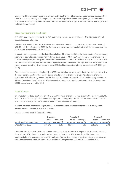

Management has assessed impairment indicators. During the year it has become apparent that the impact of Covid-19 has been prolonged leading to lower prices on oil products which consequently have reduced the activity in the heavy-lift segment. However, the conclusion of the management is that there are no impairment indicators for any vessel.

#### Note 7 Share capital and shareholders

OHT ASA's share capital consists of 120,848,034 shares, each with a nominal value of \$0.01 (NOK 0.10). All issued shares are fully paid.

The Company was incorporated as a private limited liability company on 21 February with a share capital of NOK 30,000. On 11 September 2020 the Company was converted to a public limited liability company and the share capital increased to NOK 1,020,000.

In an extraordinary general meeting in OHT ASA held on 17 September 2020, the share capital of the Company was written down to zero, immediately followed by an issue of 93,761,334 new shares to the shareholders of Offshore Heavy Transport AS against a contribution in kind of all shares in Offshore Heavy Transport AS. It was also resolved to issue 27,086,700 new shares against consideration in cash through a private placement. Total gross proceeds from the private placement was \$56.8 million (the subscription price was fixed at NOK 20 per share).

The shareholders also resolved to issue 1,018,935 warrants. For further information of warrants, see note 8. In the same general meeting, the shareholders granted a proxy to the Board of Directors to issue shares in accordance with a bonus agreement for the Group's CEO. When certain criteria's in the bonus agreement are fulfilled, the CEO will be allotted 347,372 shares in the Company without consideration. As at 30 September 2020 these criteria are not fulfilled.

#### Note 8 Warrants

On 17 September 2020, the Group's CEO, CFO and Chairman of the Board was issued with a total of 1,018,935 warrants. Each warrant gives the holders the right, but no obligation, to subscribe for one share at a price of NOK 0.10 per share, equal to the nominal value of the shares in the Company.

Warrants are accounted for as employee benefit expenses with a corresponding increase in equity. Total recognized amount in Q3 2020 was \$1.1 million.

Granted warrants as at 30 September 2020:

|                            | Tranche 1 |                       | Tranche 2 |                       | Tranche 3 |                       |
|----------------------------|-----------|-----------------------|-----------|-----------------------|-----------|-----------------------|
|                            |           | No of Value per       |           | No of Value per       |           | No of Value per       |
| Date issued/valuation date |           | warrants warrant (\$) |           | warrants warrant (\$) |           | warrants warrant (\$) |
| 17 September 2020          | 339,645   | 1.45                  | 339.645   | 1.07                  | 339.645   | 0.82                  |

Conditions for exercise are such that tranche 1 vests at a share price of NOK 24 per share, tranche 2 vests at a share price of NOK 28 per share and tranche 3 vests at share price NOK 32 per share. The share price mentioned above is measured from the 10 trading day's weighted average as quoted on the market place on which the shares are listed. All warrants are valid from 17 September 2020 until 17 September 2025.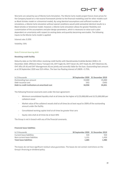

Warrants are valued by use of Monte Carlo Simulation. The Monte Carlo model project future share prices for the Company based on a risk-neutral framework (similar to the financial modelling used for other models such as Black-Scholes model or a binominal model). By using identical assumptions and sufficient number of simulations, a Monte Carlo simulation without special conditions would yield somewhat identical results to a Black-Scholes or binominal model. However, a Monte Carlo simulation allows for greater flexibility and customization of the assumptions and plan design parameters, which is necessary to value such a plan dependent on uncertainty with respect to vesting dates and quantity becoming exercisable. The following inputs to the Monte Carlo model is applied:

Interest rate: 0.33%

Volatility: 35%

#### Note 9 Interest-bearing debt

#### **Revolving credit facility**

Maturity date on the \$30 million revolving credit facility with Skandinaviska Enskilda Banken (SEB) is 31 December 2020. Offshore Heavy Transport AS, OHT Eagle AS, OHT Falcon AS, OHT Hawk AS, OHT Albatross AS, OHT Alfa Lift AS and OHT Management AS are jointly and severally liable for the loan. Outstanding loan amount as at 30 September 2020 was \$19 million. The loan has floating interest of LIBOR + 3.75%.

| in \$ thousands                               | 30 September 2020 31 December 2019 |        |
|-----------------------------------------------|------------------------------------|--------|
| Outstanding loan amount                       | 19.000                             | 25,000 |
| Debt issuance cost                            | (42)                               | (169)  |
| Debt to credit institutions at amortized cost | 18.958                             | 24.831 |

The following financial covenants exist under the loan agreement:

- Minimum consolidated liquidity shall at all times be the higher of (i) \$5,000,000 and (ii) \$1,000,000 per collateral vessel
- Market value of the collateral vessels shall at all times be at least equal to 200% of the outstanding amount under the facility
- Consolidated working capital shall at all times be greater than zero
- Equity ratio shall at all times be at least 40%

The Group is not in breach with any of the financial covenants.

#### **Financial lease liabilities**

| in \$ thousands                | 30 September 2020 31 December 2019 |       |
|--------------------------------|------------------------------------|-------|
| Current lease liabilities      | -534                               | 554   |
| Non-current lease liabilities  | 1.151                              | 1.426 |
| <b>Total lease liabilities</b> | 1.685                              | 1.980 |

The leases do not have significant residual value guarantees. The leases do not contain restrictions on the Group's financing or dividend policy.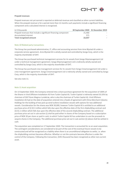

#### **Prepaid revenues**

Prepaid revenues not yet earned is reported as deferred revenue and classified as other current liabilities. When the prepaid revenue is for a period more than 12 months such payments include a significant financing component and a calculated interest is recognized.

| in \$ thousands                                                 | 30 September 2020 31 December 2019 |  |
|-----------------------------------------------------------------|------------------------------------|--|
| Prepaid revenues that include a significant financing component | 21.466                             |  |
| Accumulated interest                                            | 571                                |  |
| <b>Total recognized amount</b>                                  | 22.037                             |  |

#### Note 10 Related party transactions

The Group has purchased administrative, IT, office and accounting services from Arne Blystad AS under a corporate service agreement. Arne Blystad AS is wholly owned and controlled by Songa Corp, which is the majority shareholder of OHT.

The Group has purchased technical management services for its vessels from Songa Shipmanagement Ltd under a technical management agreement. Songa Shipmanagement Ltd is indirectly wholly owned and controlled by Songa Corp, which is the majority shareholder of OHT.

The Group has purchased crew management services for its vessels from Songa Crewmanagement Ltd under a crew management agreement. Songa Crewmanagement Ltd is indirectly wholly owned and controlled by Songa Corp, which is the majority shareholder of OHT.

See also note 11.

#### Note 11 Asset acquisition

On 13 September 2020, the Company entered into a share purchase agreement for the acquisition of 100% of the Shares in Vind Offshore Installation AS from Turbin Capital AS. Turbin Capital is indirectly owned 33.33% by chairman of OHT Rune Magnus Lundetræ, who is also the chairman of Turbin Capital AS. Vind Offshore Installation AS had on the date of acquisition entered into a heads of agreement with China Merchant Industry Holdings for the building of two jack-up wind turbine installation vessels with options for two additional vessels. Consideration for the shares was NOK 30,000, however Turbin Capital AS is entitled to an additional purchase price of (i) \$2.3 million which falls due upon the effective date of the first shipbuilding contract and (ii) \$1.1 million which falls due upon the effective date of the second shipbuilding contract. The additional purchase price set out in sub-section (i) shall be paid either in shares of the Company based on a subscription price of NOK 20 per share or paid in cash, to which Turbin Capital AS has undertaken to use the proceeds to acquire shares in the Company. The additional purchase price set out in sub-section (ii) above shall be settled in cash.

The acquisition was completed on 17 September 2020. The transaction is accounted for as an asset acquisition. The contingent considerations are considered to be part of the cost of the eventual future vessels to be constructed and will be recognized as a liability when there is an unconditional obligation to settle, i.e. when the shipbuilding contract becomes effective. Whether or not the contracts become effective is under the control of the Company. Following the transaction, \$191 thousand has been recognized as other non-current asset.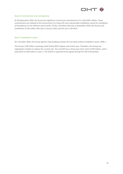

#### Note 12 Commitments and contingencies

At 30 September 2020, the Group has significant contractual commitments of in total \$201 million. These commitments are related to the construction of a heavy lift semi-submersible installation vessel for installation of foundations to the offshore wind market. Of this, \$9 million falls due in November 2020, the fourth yard installment of \$19 million falls due in January 2021 and the rest in Q4 2021.

#### Note 13 Subsequent events

On 3 October 2020, the Group signed a ship building contract for one wind turbine installation vessel, VIND 1.

The Group's \$30 million revolving credit facility (RCF) elapses end of this year. Therefore, the Group has negotiated a facility to replace the current one. The new RCF has a three-year term, limit of \$50 million, with a step-down to \$30 million in year 3. The facility is expected to be signed during first half of December.